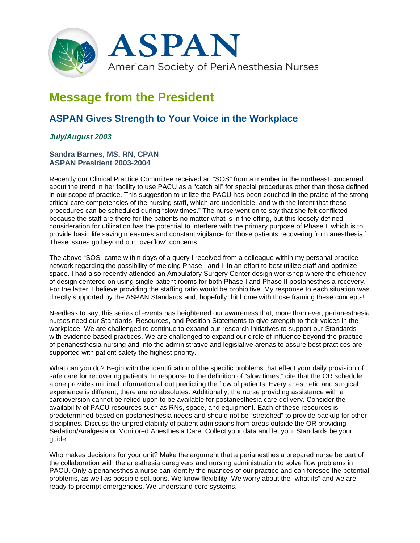

# **Message from the President**

# **ASPAN Gives Strength to Your Voice in the Workplace**

## *July/August 2003*

#### **Sandra Barnes, MS, RN, CPAN ASPAN President 2003-2004**

Recently our Clinical Practice Committee received an "SOS" from a member in the northeast concerned about the trend in her facility to use PACU as a "catch all" for special procedures other than those defined in our scope of practice. This suggestion to utilize the PACU has been couched in the praise of the strong critical care competencies of the nursing staff, which are undeniable, and with the intent that these procedures can be scheduled during "slow times." The nurse went on to say that she felt conflicted because the staff are there for the patients no matter what is in the offing, but this loosely defined consideration for utilization has the potential to interfere with the primary purpose of Phase I, which is to provide basic life saving measures and constant vigilance for those patients recovering from anesthesia.<sup>1</sup> These issues go beyond our "overflow" concerns.

The above "SOS" came within days of a query I received from a colleague within my personal practice network regarding the possibility of melding Phase I and II in an effort to best utilize staff and optimize space. I had also recently attended an Ambulatory Surgery Center design workshop where the efficiency of design centered on using single patient rooms for both Phase I and Phase II postanesthesia recovery. For the latter, I believe providing the staffing ratio would be prohibitive. My response to each situation was directly supported by the ASPAN Standards and, hopefully, hit home with those framing these concepts!

Needless to say, this series of events has heightened our awareness that, more than ever, perianesthesia nurses need our Standards, Resources, and Position Statements to give strength to their voices in the workplace. We are challenged to continue to expand our research initiatives to support our Standards with evidence-based practices. We are challenged to expand our circle of influence beyond the practice of perianesthesia nursing and into the administrative and legislative arenas to assure best practices are supported with patient safety the highest priority.

What can you do? Begin with the identification of the specific problems that effect your daily provision of safe care for recovering patients. In response to the definition of "slow times," cite that the OR schedule alone provides minimal information about predicting the flow of patients. Every anesthetic and surgical experience is different; there are no absolutes. Additionally, the nurse providing assistance with a cardioversion cannot be relied upon to be available for postanesthesia care delivery. Consider the availability of PACU resources such as RNs, space, and equipment. Each of these resources is predetermined based on postanesthesia needs and should not be "stretched" to provide backup for other disciplines. Discuss the unpredictability of patient admissions from areas outside the OR providing Sedation/Analgesia or Monitored Anesthesia Care. Collect your data and let your Standards be your guide.

Who makes decisions for your unit? Make the argument that a perianesthesia prepared nurse be part of the collaboration with the anesthesia caregivers and nursing administration to solve flow problems in PACU. Only a perianesthesia nurse can identify the nuances of our practice and can foresee the potential problems, as well as possible solutions. We know flexibility. We worry about the "what ifs" and we are ready to preempt emergencies. We understand core systems.